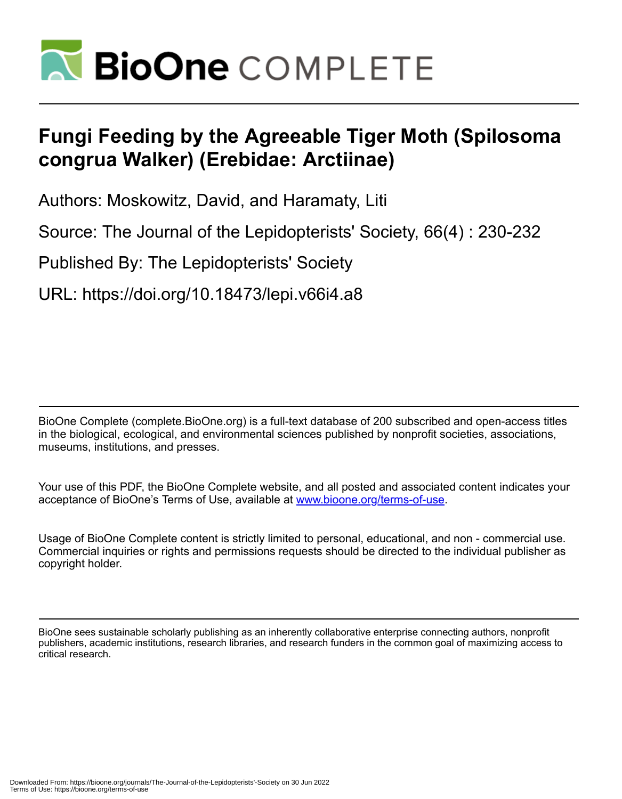

# **Fungi Feeding by the Agreeable Tiger Moth (Spilosoma congrua Walker) (Erebidae: Arctiinae)**

Authors: Moskowitz, David, and Haramaty, Liti

Source: The Journal of the Lepidopterists' Society, 66(4) : 230-232

Published By: The Lepidopterists' Society

URL: https://doi.org/10.18473/lepi.v66i4.a8

BioOne Complete (complete.BioOne.org) is a full-text database of 200 subscribed and open-access titles in the biological, ecological, and environmental sciences published by nonprofit societies, associations, museums, institutions, and presses.

Your use of this PDF, the BioOne Complete website, and all posted and associated content indicates your acceptance of BioOne's Terms of Use, available at www.bioone.org/terms-of-use.

Usage of BioOne Complete content is strictly limited to personal, educational, and non - commercial use. Commercial inquiries or rights and permissions requests should be directed to the individual publisher as copyright holder.

BioOne sees sustainable scholarly publishing as an inherently collaborative enterprise connecting authors, nonprofit publishers, academic institutions, research libraries, and research funders in the common goal of maximizing access to critical research.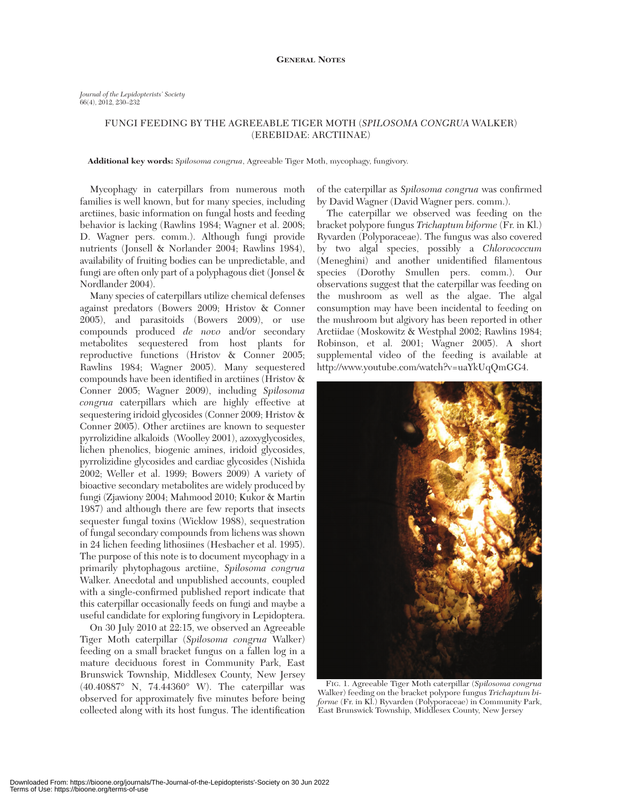## FUNGI FEEDING BY THE AGREEABLE TIGER MOTH (*SPILOSOMA CONGRUA* WALKER) (EREBIDAE: ARCTIINAE)

#### **Additional key words:** *Spilosoma congrua*, Agreeable Tiger Moth, mycophagy, fungivory.

Mycophagy in caterpillars from numerous moth families is well known, but for many species, including arctiines, basic information on fungal hosts and feeding behavior is lacking (Rawlins 1984; Wagner et al. 2008; D. Wagner pers. comm.). Although fungi provide nutrients (Jonsell & Norlander 2004; Rawlins 1984), availability of fruiting bodies can be unpredictable, and fungi are often only part of a polyphagous diet (Jonsel & Nordlander 2004).

Many species of caterpillars utilize chemical defenses against predators (Bowers 2009; Hristov & Conner 2005), and parasitoids (Bowers 2009), or use compounds produced *de novo* and/or secondary metabolites sequestered from host plants for reproductive functions (Hristov & Conner 2005; Rawlins 1984; Wagner 2005). Many sequestered compounds have been identified in arctiines (Hristov & Conner 2005; Wagner 2009), including *Spilosoma congrua* caterpillars which are highly effective at sequestering iridoid glycosides (Conner 2009; Hristov & Conner 2005). Other arctiines are known to sequester pyrrolizidine alkaloids (Woolley 2001), azoxyglycosides, lichen phenolics, biogenic amines, iridoid glycosides, pyrrolizidine glycosides and cardiac glycosides (Nishida 2002; Weller et al. 1999; Bowers 2009) A variety of bioactive secondary metabolites are widely produced by fungi (Zjawiony 2004; Mahmood 2010; Kukor & Martin 1987) and although there are few reports that insects sequester fungal toxins (Wicklow 1988), sequestration of fungal secondary compounds from lichens was shown in 24 lichen feeding lithosiines (Hesbacher et al. 1995). The purpose of this note is to document mycophagy in a primarily phytophagous arctiine, *Spilosoma congrua* Walker. Anecdotal and unpublished accounts, coupled with a single-confirmed published report indicate that this caterpillar occasionally feeds on fungi and maybe a useful candidate for exploring fungivory in Lepidoptera.

On 30 July 2010 at 22:15, we observed an Agreeable Tiger Moth caterpillar (*Spilosoma congrua* Walker) feeding on a small bracket fungus on a fallen log in a mature deciduous forest in Community Park, East Brunswick Township, Middlesex County, New Jersey (40.40887° N, 74.44360° W). The caterpillar was observed for approximately five minutes before being collected along with its host fungus. The identification

of the caterpillar as *Spilosoma congrua* was confirmed by David Wagner (David Wagner pers. comm.).

The caterpillar we observed was feeding on the bracket polypore fungus *Trichaptum biforme* (Fr. in Kl.) Ryvarden (Polyporaceae). The fungus was also covered by two algal species, possibly a *Chlorococcum* (Meneghini) and another unidentified filamentous species (Dorothy Smullen pers. comm.). Our observations suggest that the caterpillar was feeding on the mushroom as well as the algae. The algal consumption may have been incidental to feeding on the mushroom but algivory has been reported in other Arctiidae (Moskowitz & Westphal 2002; Rawlins 1984; Robinson, et al. 2001; Wagner 2005). A short supplemental video of the feeding is available at http://www.youtube.com/watch?v=uaYkUqQmGG4.



FIG. 1. Agreeable Tiger Moth caterpillar (*Spilosoma congrua* Walker) feeding on the bracket polypore fungus *Trichaptum biforme* (Fr. in Kl.) Ryvarden (Polyporaceae) in Community Park, East Brunswick Township, Middlesex County, New Jersey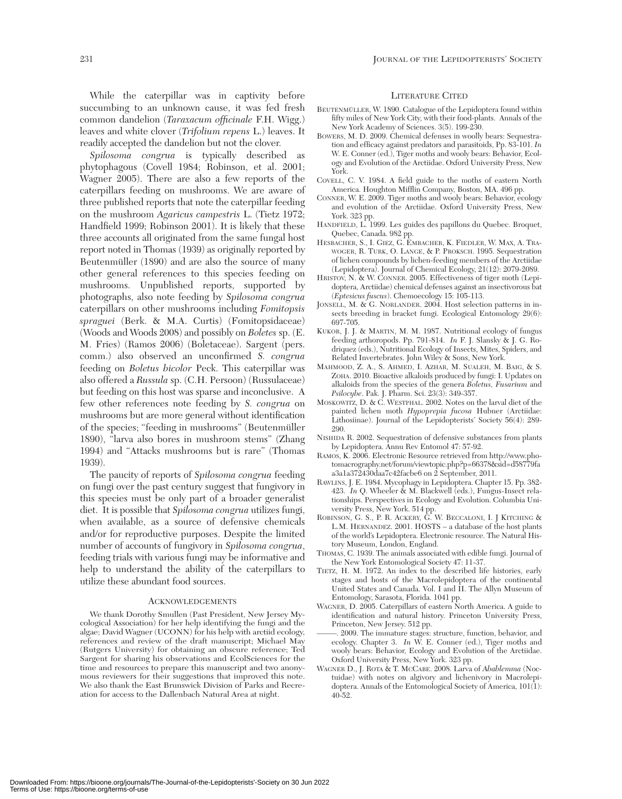While the caterpillar was in captivity before succumbing to an unknown cause, it was fed fresh common dandelion (*Taraxacum officinale* F.H. Wigg.) leaves and white clover (*Trifolium repens* L.) leaves. It readily accepted the dandelion but not the clover.

*Spilosoma congrua* is typically described as phytophagous (Covell 1984; Robinson, et al. 2001; Wagner 2005). There are also a few reports of the caterpillars feeding on mushrooms. We are aware of three published reports that note the caterpillar feeding on the mushroom *Agaricus campestris* L. (Tietz 1972; Handfield 1999; Robinson 2001). It is likely that these three accounts all originated from the same fungal host report noted in Thomas (1939) as originally reported by Beutenmüller (1890) and are also the source of many other general references to this species feeding on mushrooms. Unpublished reports, supported by photographs, also note feeding by *Spilosoma congrua* caterpillars on other mushrooms including *Fomitopsis spraguei* (Berk. & M.A. Curtis) (Fomitopsidaceae) (Woods and Woods 2008) and possibly on *Boletes* sp. (E. M. Fries) (Ramos 2006) (Boletaceae). Sargent (pers. comm.) also observed an unconfirmed *S. congrua* feeding on *Boletus bicolor* Peck. This caterpillar was also offered a *Russula* sp. (C.H. Persoon) (Russulaceae) but feeding on this host was sparse and inconclusive. A few other references note feeding by *S. congrua* on mushrooms but are more general without identification of the species; "feeding in mushrooms" (Beutenmüller 1890), "larva also bores in mushroom stems" (Zhang 1994) and "Attacks mushrooms but is rare" (Thomas 1939).

The paucity of reports of *Spilosoma congrua* feeding on fungi over the past century suggest that fungivory in this species must be only part of a broader generalist diet. It is possible that *Spilosoma congrua* utilizes fungi, when available, as a source of defensive chemicals and/or for reproductive purposes. Despite the limited number of accounts of fungivory in *Spilosoma congrua*, feeding trials with various fungi may be informative and help to understand the ability of the caterpillars to utilize these abundant food sources.

#### ACKNOWLEDGEMENTS

We thank Dorothy Smullen (Past President, New Jersey Mycological Association) for her help identifying the fungi and the algae; David Wagner (UCONN) for his help with arctiid ecology, references and review of the draft manuscript; Michael May (Rutgers University) for obtaining an obscure reference; Ted Sargent for sharing his observations and EcolSciences for the time and resources to prepare this manuscript and two anonymous reviewers for their suggestions that improved this note. We also thank the East Brunswick Division of Parks and Recreation for access to the Dallenbach Natural Area at night.

### LITERATURE CITED

- BEUTENMÜLLER, W. 1890. Catalogue of the Lepidoptera found within fifty miles of New York City, with their food-plants. Annals of the New York Academy of Sciences. 3(5). 199-230.
- BOWERS, M. D. 2009. Chemical defenses in woolly bears: Sequestration and efficacy against predators and parasitoids, Pp. 83-101. *In* W. E. Conner (ed.), Tiger moths and wooly bears: Behavior, Ecology and Evolution of the Arctiidae. Oxford University Press, New York.
- COVELL, C. V. 1984. A field guide to the moths of eastern North America. Houghton Mifflin Company, Boston, MA. 496 pp.
- CONNER, W. E. 2009. Tiger moths and wooly bears: Behavior, ecology and evolution of the Arctiidae. Oxford University Press, New York. 323 pp.
- HANDFIELD, L. 1999. Les guides des papillons du Quebec. Broquet, Quebec, Canada. 982 pp.
- HESBACHER, S., I. GIEZ, G. EMBACHER, K. FIEDLER, W. MAX, A. TRA-WOGER, R. TURK, O. LANGE, & P. PROKSCH. 1995. Sequestration of lichen compounds by lichen-feeding members of the Arctiidae (Lepidoptera). Journal of Chemical Ecology, 21(12): 2079-2089.
- HRISTOV, N. & W. CONNER. 2005. Effectiveness of tiger moth (Lepidoptera, Arctiidae) chemical defenses against an insectivorous bat (*Eptesicus fuscus*). Chemoecology 15: 105-113.
- JONSELL, M. & G. NORLANDER. 2004. Host selection patterns in insects breeding in bracket fungi. Ecological Entomology 29(6): 697-705.
- KUKOR, J. J. & MARTIN, M. M. 1987. Nutritional ecology of fungus feeding arthoropods. Pp. 791-814. *In* F. J. Slansky & J. G. Rodriquez (eds.), Nutritional Ecology of Insects, Mites, Spiders, and Related Invertebrates. John Wiley & Sons, New York.
- MAHMOOD, Z. A., S. AHMED, I. AZHAR, M. SUALEH, M. BAIG, & S. ZOHA. 2010. Bioactive alkaloids produced by fungi: I. Updates on alkaloids from the species of the genera *Boletus, Fusarium* and *Psilocybe*. Pak. J. Pharm. Sci. 23(3): 349-357.
- MOSKOWITZ, D. & C. WESTPHAL. 2002. Notes on the larval diet of the painted lichen moth *Hypoprepia fucosa* Hubner (Arctiidae: Lithosiinae). Journal of the Lepidopterists' Society 56(4): 289- 290.
- NISHIDA R. 2002. Sequestration of defensive substances from plants by Lepidoptera. Annu Rev Entomol 47: 57-92.
- RAMOS, K. 2006. Electronic Resource retrieved from http://www.photomacrography.net/forum/viewtopic.php?p=66378&sid=d58779fa a3a1a372430daa7c42facbe6 on 2 September, 2011.
- RAWLINS, J. E. 1984. Mycophagy in Lepidoptera. Chapter 15. Pp. 382- 423. *In* Q. Wheeler & M. Blackwell (eds.), Fungus-Insect relationships. Perspectives in Ecology and Evolution. Columbia University Press, New York. 514 pp.
- ROBINSON, G. S., P. R. ACKERY, G. W. BECCALONI, I. J KITCHING & L.M. HERNANDEZ. 2001. HOSTS – a database of the host plants of the world's Lepidoptera. Electronic resource. The Natural History Museum, London, England.
- THOMAS, C. 1939. The animals associated with edible fungi. Journal of the New York Entomological Society 47: 11-37.
- TIETZ, H. M. 1972. An index to the described life histories, early stages and hosts of the Macrolepidoptera of the continental United States and Canada. Vol. I and II. The Allyn Museum of Entomology, Sarasota, Florida. 1041 pp.
- WAGNER, D. 2005. Caterpillars of eastern North America. A guide to identification and natural history. Princeton University Press, Princeton, New Jersey. 512 pp.
- –––––. 2009. The immature stages: structure, function, behavior, and ecology. Chapter 3. *In* W. E. Conner (ed.), Tiger moths and wooly bears: Behavior, Ecology and Evolution of the Arctiidae. Oxford University Press, New York. 323 pp.
- WAGNER D., J. ROTA & T. MCCABE. 2008. Larva of *Abablemma* (Noctuidae) with notes on algivory and lichenivory in Macrolepidoptera. Annals of the Entomological Society of America,  $101(1)$ : 40-52.